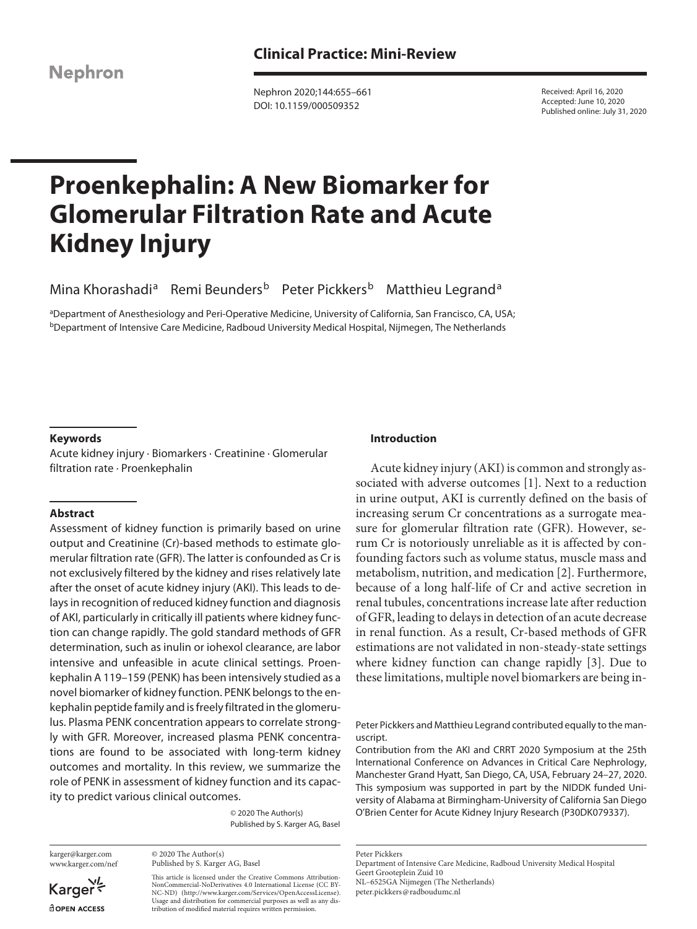**Nephron** 

Nephron 2020;144:655–661 DOI: 10.1159/000509352

Received: April 16, 2020 Accepted: June 10, 2020 Published online: July 31, 2020

# **Proenkephalin: A New Biomarker for Glomerular Filtration Rate and Acute Kidney Injury**

Mina Khorashadi<sup>a</sup> Remi Beunders<sup>b</sup> Peter Pickkers<sup>b</sup> Matthieu Legrand<sup>a</sup>

aDepartment of Anesthesiology and Peri-Operative Medicine, University of California, San Francisco, CA, USA; bDepartment of Intensive Care Medicine, Radboud University Medical Hospital, Nijmegen, The Netherlands

## **Keywords**

Acute kidney injury · Biomarkers · Creatinine · Glomerular filtration rate · Proenkephalin

#### **Abstract**

Assessment of kidney function is primarily based on urine output and Creatinine (Cr)-based methods to estimate glomerular filtration rate (GFR). The latter is confounded as Cr is not exclusively filtered by the kidney and rises relatively late after the onset of acute kidney injury (AKI). This leads to delays in recognition of reduced kidney function and diagnosis of AKI, particularly in critically ill patients where kidney function can change rapidly. The gold standard methods of GFR determination, such as inulin or iohexol clearance, are labor intensive and unfeasible in acute clinical settings. Proenkephalin A 119–159 (PENK) has been intensively studied as a novel biomarker of kidney function. PENK belongs to the enkephalin peptide family and is freely filtrated in the glomerulus. Plasma PENK concentration appears to correlate strongly with GFR. Moreover, increased plasma PENK concentrations are found to be associated with long-term kidney outcomes and mortality. In this review, we summarize the role of PENK in assessment of kidney function and its capacity to predict various clinical outcomes.

> © 2020 The Author(s) Published by S. Karger AG, Basel

karger@karger.com www.karger.com/nef

© 2020 The Author(s) Published by S. Karger AG, Basel

This article is licensed under the Creative Commons Attribution-NonCommercial-NoDerivatives 4.0 International License (CC BY-NC-ND) (http://www.karger.com/Services/OpenAccessLicense). Usage and distribution for commercial purposes as well as any distribution of modified material requires written permission.

### **Introduction**

Acute kidney injury (AKI) is common and strongly associated with adverse outcomes [1]. Next to a reduction in urine output, AKI is currently defined on the basis of increasing serum Cr concentrations as a surrogate measure for glomerular filtration rate (GFR). However, serum Cr is notoriously unreliable as it is affected by confounding factors such as volume status, muscle mass and metabolism, nutrition, and medication [2]. Furthermore, because of a long half-life of Cr and active secretion in renal tubules, concentrations increase late after reduction of GFR, leading to delays in detection of an acute decrease in renal function. As a result, Cr-based methods of GFR estimations are not validated in non-steady-state settings where kidney function can change rapidly [3]. Due to these limitations, multiple novel biomarkers are being in-

Peter Pickkers and Matthieu Legrand contributed equally to the manuscript.

Contribution from the AKI and CRRT 2020 Symposium at the 25th International Conference on Advances in Critical Care Nephrology, Manchester Grand Hyatt, San Diego, CA, USA, February 24–27, 2020. This symposium was supported in part by the NIDDK funded University of Alabama at Birmingham-University of California San Diego O'Brien Center for Acute Kidney Injury Research (P30DK079337).

Peter Pickkers

peter.pickkers@radboudumc.nl

Karger dopen Access

Department of Intensive Care Medicine, Radboud University Medical Hospital Geert Grooteplein Zuid 10 NL–6525GA Nijmegen (The Netherlands)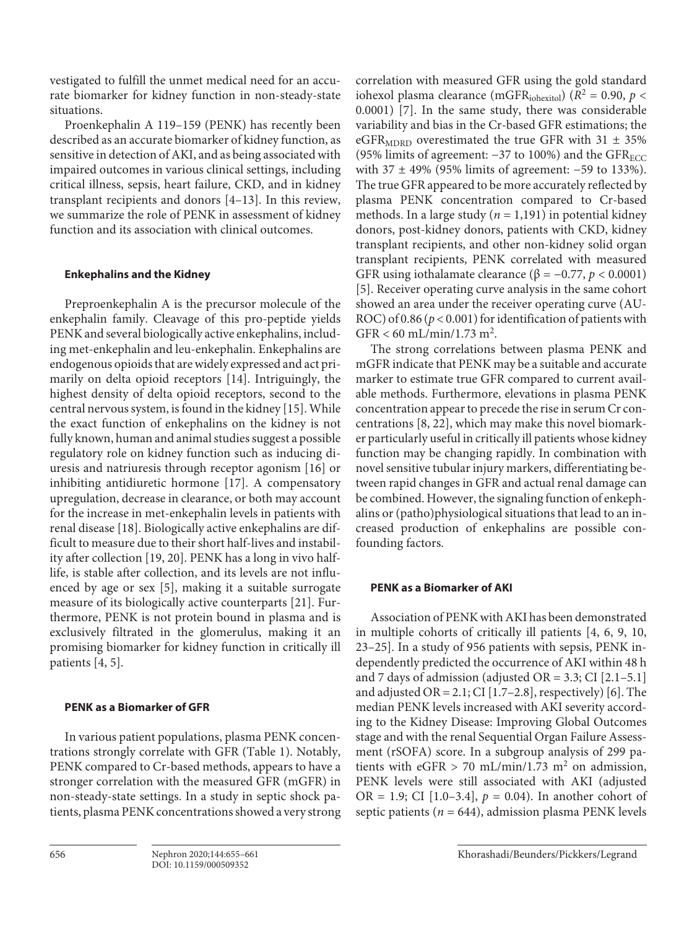vestigated to fulfill the unmet medical need for an accurate biomarker for kidney function in non-steady-state situations.

Proenkephalin A 119–159 (PENK) has recently been described as an accurate biomarker of kidney function, as sensitive in detection of AKI, and as being associated with impaired outcomes in various clinical settings, including critical illness, sepsis, heart failure, CKD, and in kidney transplant recipients and donors [4–13]. In this review, we summarize the role of PENK in assessment of kidney function and its association with clinical outcomes.

# **Enkephalins and the Kidney**

Preproenkephalin A is the precursor molecule of the enkephalin family. Cleavage of this pro-peptide yields PENK and several biologically active enkephalins, including met-enkephalin and leu-enkephalin. Enkephalins are endogenous opioids that are widely expressed and act primarily on delta opioid receptors [14]. Intriguingly, the highest density of delta opioid receptors, second to the central nervous system, is found in the kidney [15]. While the exact function of enkephalins on the kidney is not fully known, human and animal studies suggest a possible regulatory role on kidney function such as inducing diuresis and natriuresis through receptor agonism [16] or inhibiting antidiuretic hormone [17]. A compensatory upregulation, decrease in clearance, or both may account for the increase in met-enkephalin levels in patients with renal disease [18]. Biologically active enkephalins are difficult to measure due to their short half-lives and instability after collection [19, 20]. PENK has a long in vivo halflife, is stable after collection, and its levels are not influenced by age or sex [5], making it a suitable surrogate measure of its biologically active counterparts [21]. Furthermore, PENK is not protein bound in plasma and is exclusively filtrated in the glomerulus, making it an promising biomarker for kidney function in critically ill patients [4, 5].

# **PENK as a Biomarker of GFR**

In various patient populations, plasma PENK concentrations strongly correlate with GFR (Table 1). Notably, PENK compared to Cr-based methods, appears to have a stronger correlation with the measured GFR (mGFR) in non-steady-state settings. In a study in septic shock patients, plasma PENK concentrations showed a very strong correlation with measured GFR using the gold standard iohexol plasma clearance (mGFR<sub>iohexitol</sub>) ( $R^2 = 0.90$ ,  $p <$ 0.0001) [7]. In the same study, there was considerable variability and bias in the Cr-based GFR estimations; the eGFR<sub>MDRD</sub> overestimated the true GFR with  $31 \pm 35\%$ (95% limits of agreement:  $-37$  to 100%) and the GFR<sub>ECC</sub> with 37 ± 49% (95% limits of agreement: −59 to 133%). The true GFR appeared to be more accurately reflected by plasma PENK concentration compared to Cr-based methods. In a large study ( $n = 1,191$ ) in potential kidney donors, post-kidney donors, patients with CKD, kidney transplant recipients, and other non-kidney solid organ transplant recipients, PENK correlated with measured GFR using iothalamate clearance ( $\beta$  = -0.77, *p* < 0.0001) [5]. Receiver operating curve analysis in the same cohort showed an area under the receiver operating curve (AU-ROC) of 0.86 (*p* < 0.001) for identification of patients with  $GFR < 60 \text{ mL/min}/1.73 \text{ m}^2$ .

The strong correlations between plasma PENK and mGFR indicate that PENK may be a suitable and accurate marker to estimate true GFR compared to current available methods. Furthermore, elevations in plasma PENK concentration appear to precede the rise in serum Cr concentrations [8, 22], which may make this novel biomarker particularly useful in critically ill patients whose kidney function may be changing rapidly. In combination with novel sensitive tubular injury markers, differentiating between rapid changes in GFR and actual renal damage can be combined. However, the signaling function of enkephalins or (patho)physiological situations that lead to an increased production of enkephalins are possible confounding factors.

# **PENK as a Biomarker of AKI**

Association of PENK with AKI has been demonstrated in multiple cohorts of critically ill patients [4, 6, 9, 10, 23–25]. In a study of 956 patients with sepsis, PENK independently predicted the occurrence of AKI within 48 h and 7 days of admission (adjusted OR =  $3.3$ ; CI [2.1-5.1] and adjusted OR =  $2.1$ ; CI [1.7-2.8], respectively) [6]. The median PENK levels increased with AKI severity according to the Kidney Disease: Improving Global Outcomes stage and with the renal Sequential Organ Failure Assessment (rSOFA) score. In a subgroup analysis of 299 patients with eGFR > 70 mL/min/1.73 m<sup>2</sup> on admission, PENK levels were still associated with AKI (adjusted OR = 1.9; CI  $[1.0-3.4]$ ,  $p = 0.04$ ). In another cohort of septic patients ( $n = 644$ ), admission plasma PENK levels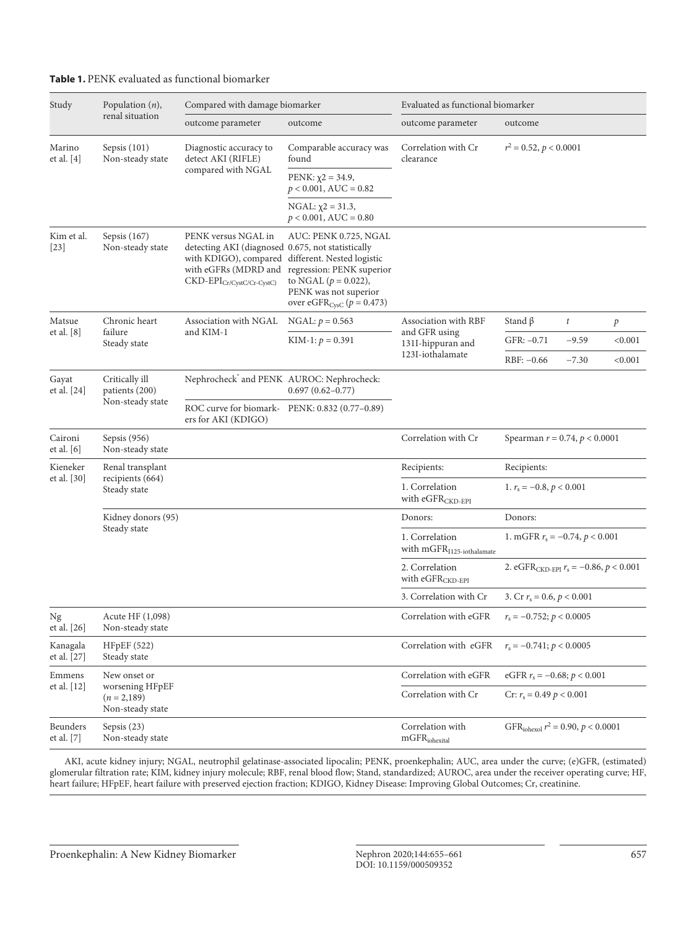## **Table 1.** PENK evaluated as functional biomarker

| Study                   | Population $(n)$ ,                                                 | Compared with damage biomarker                                                                                                                                                                      |                                                                                                                                                      | Evaluated as functional biomarker                                               |                                                        |  |
|-------------------------|--------------------------------------------------------------------|-----------------------------------------------------------------------------------------------------------------------------------------------------------------------------------------------------|------------------------------------------------------------------------------------------------------------------------------------------------------|---------------------------------------------------------------------------------|--------------------------------------------------------|--|
|                         | renal situation                                                    | outcome parameter                                                                                                                                                                                   | outcome                                                                                                                                              | outcome parameter                                                               | outcome                                                |  |
| Marino<br>et al. $[4]$  | Sepsis (101)<br>Non-steady state                                   | Diagnostic accuracy to<br>detect AKI (RIFLE)<br>compared with NGAL                                                                                                                                  | Comparable accuracy was<br>found                                                                                                                     | Correlation with Cr<br>clearance                                                | $r^2 = 0.52$ , $p < 0.0001$                            |  |
|                         |                                                                    |                                                                                                                                                                                                     | PENK: $\chi$ 2 = 34.9,<br>$p < 0.001$ , AUC = 0.82                                                                                                   |                                                                                 |                                                        |  |
|                         |                                                                    |                                                                                                                                                                                                     | NGAL: $\chi$ 2 = 31.3,<br>$p < 0.001$ , AUC = 0.80                                                                                                   |                                                                                 |                                                        |  |
| Kim et al.<br>$[23]$    | Sepsis (167)<br>Non-steady state                                   | PENK versus NGAL in<br>detecting AKI (diagnosed 0.675, not statistically<br>with KDIGO), compared different. Nested logistic<br>with eGFRs (MDRD and<br>$\text{CKD-EPI}_{\text{Cr/CystC/Cr-CystC}}$ | AUC: PENK 0.725, NGAL<br>regression: PENK superior<br>to NGAL ( $p = 0.022$ ),<br>PENK was not superior<br>over eGFR <sub>CysC</sub> ( $p = 0.473$ ) |                                                                                 |                                                        |  |
| Matsue<br>et al. [8]    | Chronic heart<br>failure<br>Steady state                           | Association with NGAL<br>and KIM-1                                                                                                                                                                  | NGAL: $p = 0.563$                                                                                                                                    | Association with RBF<br>and GFR using<br>131I-hippuran and<br>123I-iothalamate  | Stand $\beta$<br>$\it t$<br>$\boldsymbol{p}$           |  |
|                         |                                                                    |                                                                                                                                                                                                     | KIM-1: $p = 0.391$                                                                                                                                   |                                                                                 | $GFR: -0.71$<br>< 0.001<br>$-9.59$                     |  |
|                         |                                                                    |                                                                                                                                                                                                     |                                                                                                                                                      |                                                                                 | < 0.001<br>$RBF: -0.66$<br>$-7.30$                     |  |
| Gayat<br>et al. [24]    | Critically ill<br>patients (200)<br>Non-steady state               | Nephrocheck' and PENK AUROC: Nephrocheck:                                                                                                                                                           | $0.697(0.62 - 0.77)$                                                                                                                                 |                                                                                 |                                                        |  |
|                         |                                                                    | ROC curve for biomark-PENK: 0.832 (0.77-0.89)<br>ers for AKI (KDIGO)                                                                                                                                |                                                                                                                                                      |                                                                                 |                                                        |  |
| Caironi<br>et al. [6]   | Sepsis (956)<br>Non-steady state                                   |                                                                                                                                                                                                     |                                                                                                                                                      | Correlation with Cr                                                             | Spearman $r = 0.74$ , $p < 0.0001$                     |  |
| Kieneker<br>et al. [30] | Renal transplant<br>recipients (664)<br>Steady state               |                                                                                                                                                                                                     |                                                                                                                                                      | Recipients:                                                                     | Recipients:                                            |  |
|                         |                                                                    |                                                                                                                                                                                                     |                                                                                                                                                      | 1. Correlation<br>1. $r_s = -0.8$ , $p < 0.001$<br>with eGFR <sub>CKD-EPI</sub> |                                                        |  |
|                         | Kidney donors (95)<br>Steady state                                 |                                                                                                                                                                                                     |                                                                                                                                                      | Donors:                                                                         | Donors:                                                |  |
|                         |                                                                    |                                                                                                                                                                                                     |                                                                                                                                                      | 1. Correlation<br>with $mGFRI125-iothalamate$                                   | 1. mGFR $r_s = -0.74$ , $p < 0.001$                    |  |
|                         |                                                                    |                                                                                                                                                                                                     |                                                                                                                                                      | 2. Correlation<br>with eGFR <sub>CKD-EPI</sub>                                  | 2. eGFR <sub>CKD-EPI</sub> $r_s = -0.86$ , $p < 0.001$ |  |
|                         |                                                                    |                                                                                                                                                                                                     |                                                                                                                                                      | 3. Correlation with Cr                                                          | 3. Cr $r_s = 0.6$ , $p < 0.001$                        |  |
| Ng<br>et al. [26]       | Acute HF (1,098)<br>Non-steady state                               |                                                                                                                                                                                                     |                                                                                                                                                      | Correlation with eGFR                                                           | $r_s = -0.752; p < 0.0005$                             |  |
| Kanagala<br>et al. [27] | HFpEF (522)<br>Steady state                                        |                                                                                                                                                                                                     |                                                                                                                                                      | Correlation with eGFR                                                           | $r_s = -0.741; p < 0.0005$                             |  |
| Emmens<br>et al. [12]   | New onset or<br>worsening HFpEF<br>$(n=2,189)$<br>Non-steady state |                                                                                                                                                                                                     |                                                                                                                                                      | Correlation with eGFR                                                           | eGFR $r_s = -0.68; p < 0.001$                          |  |
|                         |                                                                    |                                                                                                                                                                                                     |                                                                                                                                                      | Correlation with Cr                                                             | Cr: $r_s = 0.49 p < 0.001$                             |  |
| Beunders<br>et al. [7]  | Sepsis $(23)$<br>Non-steady state                                  |                                                                                                                                                                                                     |                                                                                                                                                      | Correlation with<br>$mGFR_{\rm inhexital}$                                      | GFR <sub>iohexol</sub> $r^2 = 0.90$ , $p < 0.0001$     |  |

AKI, acute kidney injury; NGAL, neutrophil gelatinase-associated lipocalin; PENK, proenkephalin; AUC, area under the curve; (e)GFR, (estimated) glomerular filtration rate; KIM, kidney injury molecule; RBF, renal blood flow; Stand, standardized; AUROC, area under the receiver operating curve; HF, heart failure; HFpEF, heart failure with preserved ejection fraction; KDIGO, Kidney Disease: Improving Global Outcomes; Cr, creatinine.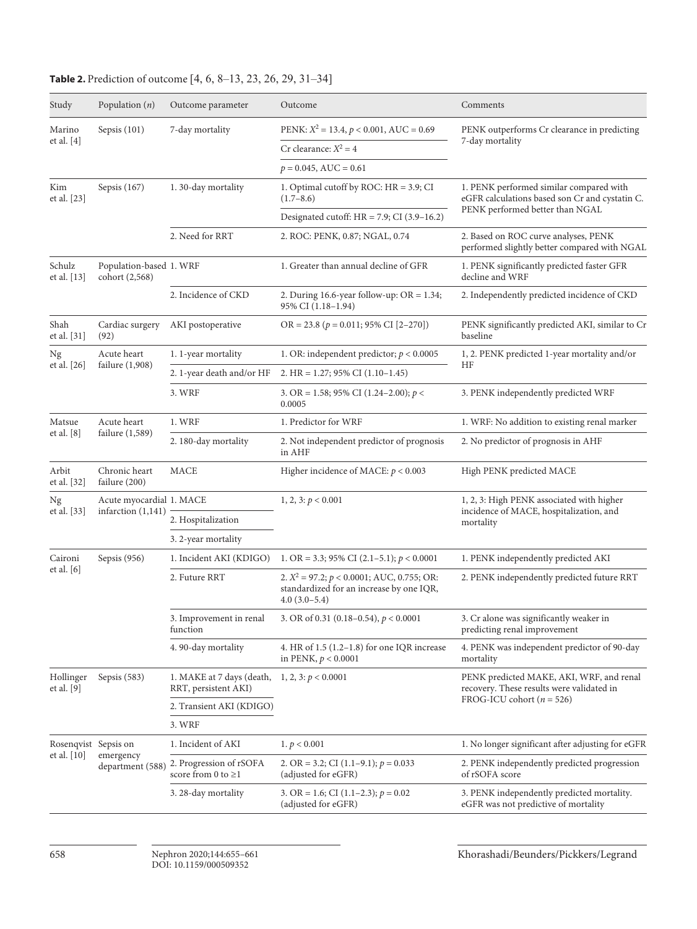| Study                               | Population $(n)$                                 | Outcome parameter                                   | Outcome                                                                                                        | Comments                                                                                                                     |  |
|-------------------------------------|--------------------------------------------------|-----------------------------------------------------|----------------------------------------------------------------------------------------------------------------|------------------------------------------------------------------------------------------------------------------------------|--|
| Marino<br>et al. $[4]$              | Sepsis $(101)$                                   | 7-day mortality                                     | PENK: $X^2 = 13.4$ , $p < 0.001$ , AUC = 0.69                                                                  | PENK outperforms Cr clearance in predicting<br>7-day mortality                                                               |  |
|                                     |                                                  |                                                     | Cr clearance: $X^2 = 4$                                                                                        |                                                                                                                              |  |
|                                     |                                                  |                                                     | $p = 0.045$ , AUC = 0.61                                                                                       |                                                                                                                              |  |
| Kim<br>et al. [23]                  | Sepsis $(167)$                                   | 1.30-day mortality                                  | 1. Optimal cutoff by ROC: HR = 3.9; CI<br>$(1.7-8.6)$                                                          | 1. PENK performed similar compared with<br>eGFR calculations based son Cr and cystatin C.<br>PENK performed better than NGAL |  |
|                                     |                                                  |                                                     | Designated cutoff: $HR = 7.9$ ; CI (3.9-16.2)                                                                  |                                                                                                                              |  |
|                                     |                                                  | 2. Need for RRT                                     | 2. ROC: PENK, 0.87; NGAL, 0.74                                                                                 | 2. Based on ROC curve analyses, PENK<br>performed slightly better compared with NGAL                                         |  |
| Schulz<br>et al. [13]               | Population-based 1. WRF<br>cohort (2,568)        |                                                     | 1. Greater than annual decline of GFR                                                                          | 1. PENK significantly predicted faster GFR<br>decline and WRF                                                                |  |
|                                     |                                                  | 2. Incidence of CKD                                 | 2. During 16.6-year follow-up: $OR = 1.34$ ;<br>95% CI (1.18-1.94)                                             | 2. Independently predicted incidence of CKD                                                                                  |  |
| Shah<br>et al. [31]                 | Cardiac surgery<br>(92)                          | AKI postoperative                                   | $OR = 23.8 (p = 0.011; 95\% CI [2-270])$                                                                       | PENK significantly predicted AKI, similar to Cr<br>baseline                                                                  |  |
| Ng<br>et al. [26]                   | Acute heart<br>failure $(1,908)$                 | 1. 1-year mortality                                 | 1. OR: independent predictor; $p < 0.0005$                                                                     | 1, 2. PENK predicted 1-year mortality and/or                                                                                 |  |
|                                     |                                                  | 2. 1-year death and/or HF                           | 2. HR = $1.27$ ; 95% CI (1.10-1.45)                                                                            | ΗF                                                                                                                           |  |
|                                     |                                                  | 3. WRF                                              | 3. OR = 1.58; 95% CI (1.24–2.00); $p <$<br>0.0005                                                              | 3. PENK independently predicted WRF                                                                                          |  |
| Matsue                              | Acute heart<br>failure $(1,589)$                 | 1. WRF                                              | 1. Predictor for WRF                                                                                           | 1. WRF: No addition to existing renal marker                                                                                 |  |
| et al. [8]                          |                                                  | 2.180-day mortality                                 | 2. Not independent predictor of prognosis<br>in AHF                                                            | 2. No predictor of prognosis in AHF                                                                                          |  |
| Arbit<br>et al. [32]                | Chronic heart<br>failure (200)                   | <b>MACE</b>                                         | Higher incidence of MACE: $p < 0.003$                                                                          | High PENK predicted MACE                                                                                                     |  |
| Ng                                  | Acute myocardial 1. MACE<br>infarction $(1,141)$ |                                                     | 1, 2, 3: $p < 0.001$                                                                                           | 1, 2, 3: High PENK associated with higher<br>incidence of MACE, hospitalization, and<br>mortality                            |  |
| et al. [33]                         |                                                  | 2. Hospitalization                                  |                                                                                                                |                                                                                                                              |  |
|                                     |                                                  | 3. 2-year mortality                                 |                                                                                                                |                                                                                                                              |  |
| Caironi                             | Sepsis $(956)$                                   | 1. Incident AKI (KDIGO)                             | 1. OR = 3.3; 95% CI (2.1–5.1); $p < 0.0001$                                                                    | 1. PENK independently predicted AKI                                                                                          |  |
| et al. [6]                          |                                                  | 2. Future RRT                                       | 2. $X^2 = 97.2$ ; $p < 0.0001$ ; AUC, 0.755; OR:<br>standardized for an increase by one IQR,<br>$4.0(3.0-5.4)$ | 2. PENK independently predicted future RRT                                                                                   |  |
|                                     |                                                  | 3. Improvement in renal<br>function                 | 3. OR of 0.31 (0.18-0.54), $p < 0.0001$                                                                        | 3. Cr alone was significantly weaker in<br>predicting renal improvement                                                      |  |
|                                     |                                                  | 4.90-day mortality                                  | 4. HR of $1.5$ ( $1.2-1.8$ ) for one IQR increase<br>in PENK, $p < 0.0001$                                     | 4. PENK was independent predictor of 90-day<br>mortality                                                                     |  |
| Hollinger<br>et al. $[9]$           | Sepsis $(583)$                                   | 1. MAKE at 7 days (death,<br>RRT, persistent AKI)   | 1, 2, 3: $p < 0.0001$                                                                                          | PENK predicted MAKE, AKI, WRF, and renal<br>recovery. These results were validated in<br>FROG-ICU cohort ( $n = 526$ )       |  |
|                                     |                                                  | 2. Transient AKI (KDIGO)                            |                                                                                                                |                                                                                                                              |  |
|                                     |                                                  | 3. WRF                                              |                                                                                                                |                                                                                                                              |  |
| Rosenqvist Sepsis on<br>et al. [10] | emergency<br>department (588)                    | 1. Incident of AKI                                  | 1. $p < 0.001$                                                                                                 | 1. No longer significant after adjusting for eGFR                                                                            |  |
|                                     |                                                  | 2. Progression of rSOFA<br>score from 0 to $\geq$ 1 | 2. OR = 3.2; CI (1.1–9.1); $p = 0.033$<br>(adjusted for eGFR)                                                  | 2. PENK independently predicted progression<br>of rSOFA score                                                                |  |
|                                     |                                                  | 3. 28-day mortality                                 | 3. OR = 1.6; CI $(1.1-2.3)$ ; $p = 0.02$<br>(adjusted for eGFR)                                                | 3. PENK independently predicted mortality.<br>eGFR was not predictive of mortality                                           |  |

# **Table 2.** Prediction of outcome [4, 6, 8–13, 23, 26, 29, 31–34]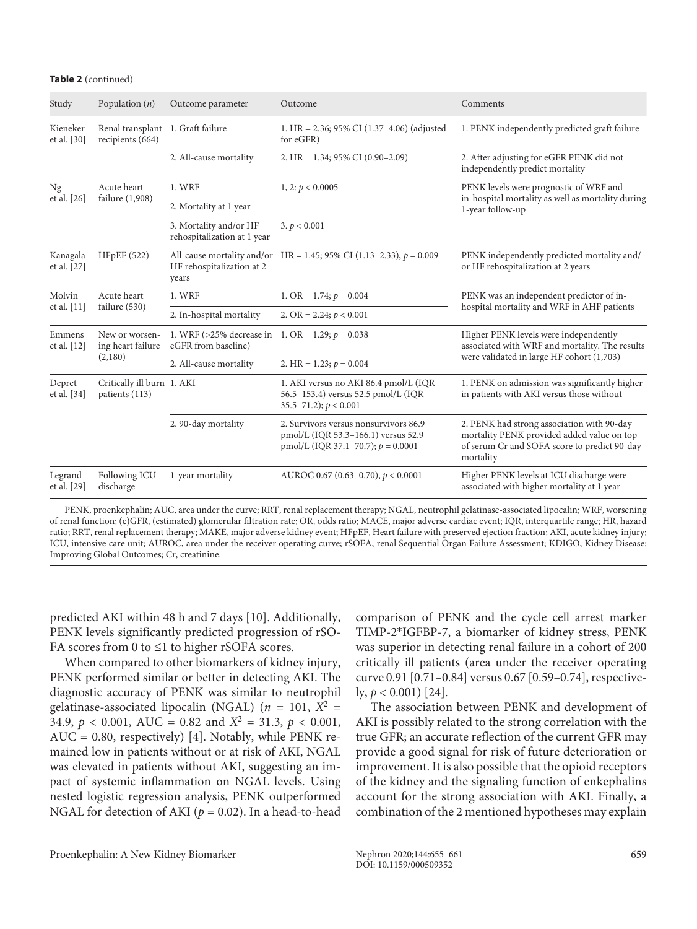#### **Table 2** (continued)

| Study                   | Population $(n)$                                      | Outcome parameter                                                         | Outcome                                                                                                              | Comments                                                                                                                                              |  |
|-------------------------|-------------------------------------------------------|---------------------------------------------------------------------------|----------------------------------------------------------------------------------------------------------------------|-------------------------------------------------------------------------------------------------------------------------------------------------------|--|
| Kieneker<br>et al. [30] | Renal transplant 1. Graft failure<br>recipients (664) |                                                                           | 1. HR = $2.36$ ; 95% CI (1.37–4.06) (adjusted<br>for eGFR)                                                           | 1. PENK independently predicted graft failure                                                                                                         |  |
|                         |                                                       | 2. All-cause mortality                                                    | 2. HR = $1.34$ ; 95% CI (0.90-2.09)                                                                                  | 2. After adjusting for eGFR PENK did not<br>independently predict mortality                                                                           |  |
| Ng<br>et al. [26]       | Acute heart<br>failure (1,908)                        | 1. WRF                                                                    | 1, 2: $p < 0.0005$                                                                                                   | PENK levels were prognostic of WRF and<br>in-hospital mortality as well as mortality during<br>1-year follow-up                                       |  |
|                         |                                                       | 2. Mortality at 1 year                                                    |                                                                                                                      |                                                                                                                                                       |  |
|                         |                                                       | 3. Mortality and/or HF<br>rehospitalization at 1 year                     | 3. $p < 0.001$                                                                                                       |                                                                                                                                                       |  |
| Kanagala<br>et al. [27] | <b>HFpEF</b> (522)                                    | All-cause mortality and/or<br>HF rehospitalization at 2<br>years          | HR = 1.45; 95% CI (1.13–2.33), $p = 0.009$                                                                           | PENK independently predicted mortality and/<br>or HF rehospitalization at 2 years                                                                     |  |
| Molvin<br>et al. [11]   | Acute heart<br>failure (530)                          | 1. WRF                                                                    | 1. OR = $1.74; p = 0.004$                                                                                            | PENK was an independent predictor of in-<br>hospital mortality and WRF in AHF patients                                                                |  |
|                         |                                                       | 2. In-hospital mortality                                                  | 2. OR = 2.24; $p < 0.001$                                                                                            |                                                                                                                                                       |  |
| Emmens<br>et al. [12]   | New or worsen-<br>ing heart failure<br>(2,180)        | 1. WRF (>25% decrease in 1. OR = 1.29; $p = 0.038$<br>eGFR from baseline) |                                                                                                                      | Higher PENK levels were independently<br>associated with WRF and mortality. The results<br>were validated in large HF cohort (1,703)                  |  |
|                         |                                                       | 2. All-cause mortality                                                    | 2. HR = 1.23; $p = 0.004$                                                                                            |                                                                                                                                                       |  |
| Depret<br>et al. [34]   | Critically ill burn 1. AKI<br>patients (113)          |                                                                           | 1. AKI versus no AKI 86.4 pmol/L (IQR<br>56.5-153.4) versus 52.5 pmol/L (IQR<br>$35.5 - 71.2$ ; $p < 0.001$          | 1. PENK on admission was significantly higher<br>in patients with AKI versus those without                                                            |  |
|                         |                                                       | 2.90-day mortality                                                        | 2. Survivors versus nonsurvivors 86.9<br>pmol/L (IQR 53.3-166.1) versus 52.9<br>pmol/L (IQR 37.1-70.7); $p = 0.0001$ | 2. PENK had strong association with 90-day<br>mortality PENK provided added value on top<br>of serum Cr and SOFA score to predict 90-day<br>mortality |  |
| Legrand<br>et al. [29]  | Following ICU<br>discharge                            | 1-year mortality                                                          | AUROC 0.67 (0.63-0.70), $p < 0.0001$                                                                                 | Higher PENK levels at ICU discharge were<br>associated with higher mortality at 1 year                                                                |  |

PENK, proenkephalin; AUC, area under the curve; RRT, renal replacement therapy; NGAL, neutrophil gelatinase-associated lipocalin; WRF, worsening of renal function; (e)GFR, (estimated) glomerular filtration rate; OR, odds ratio; MACE, major adverse cardiac event; IQR, interquartile range; HR, hazard ratio; RRT, renal replacement therapy; MAKE, major adverse kidney event; HFpEF, Heart failure with preserved ejection fraction; AKI, acute kidney injury; ICU, intensive care unit; AUROC, area under the receiver operating curve; rSOFA, renal Sequential Organ Failure Assessment; KDIGO, Kidney Disease: Improving Global Outcomes; Cr, creatinine.

predicted AKI within 48 h and 7 days [10]. Additionally, PENK levels significantly predicted progression of rSO-FA scores from 0 to  $\leq$ 1 to higher rSOFA scores.

When compared to other biomarkers of kidney injury, PENK performed similar or better in detecting AKI. The diagnostic accuracy of PENK was similar to neutrophil gelatinase-associated lipocalin (NGAL) ( $n = 101$ ,  $X^2 =$ 34.9,  $p < 0.001$ , AUC = 0.82 and  $X^2 = 31.3$ ,  $p < 0.001$ , AUC = 0.80, respectively) [4]. Notably, while PENK remained low in patients without or at risk of AKI, NGAL was elevated in patients without AKI, suggesting an impact of systemic inflammation on NGAL levels. Using nested logistic regression analysis, PENK outperformed NGAL for detection of AKI ( $p = 0.02$ ). In a head-to-head

comparison of PENK and the cycle cell arrest marker TIMP-2\*IGFBP-7, a biomarker of kidney stress, PENK was superior in detecting renal failure in a cohort of 200 critically ill patients (area under the receiver operating curve 0.91 [0.71–0.84] versus 0.67 [0.59–0.74], respectively, *p* < 0.001) [24].

The association between PENK and development of AKI is possibly related to the strong correlation with the true GFR; an accurate reflection of the current GFR may provide a good signal for risk of future deterioration or improvement. It is also possible that the opioid receptors of the kidney and the signaling function of enkephalins account for the strong association with AKI. Finally, a combination of the 2 mentioned hypotheses may explain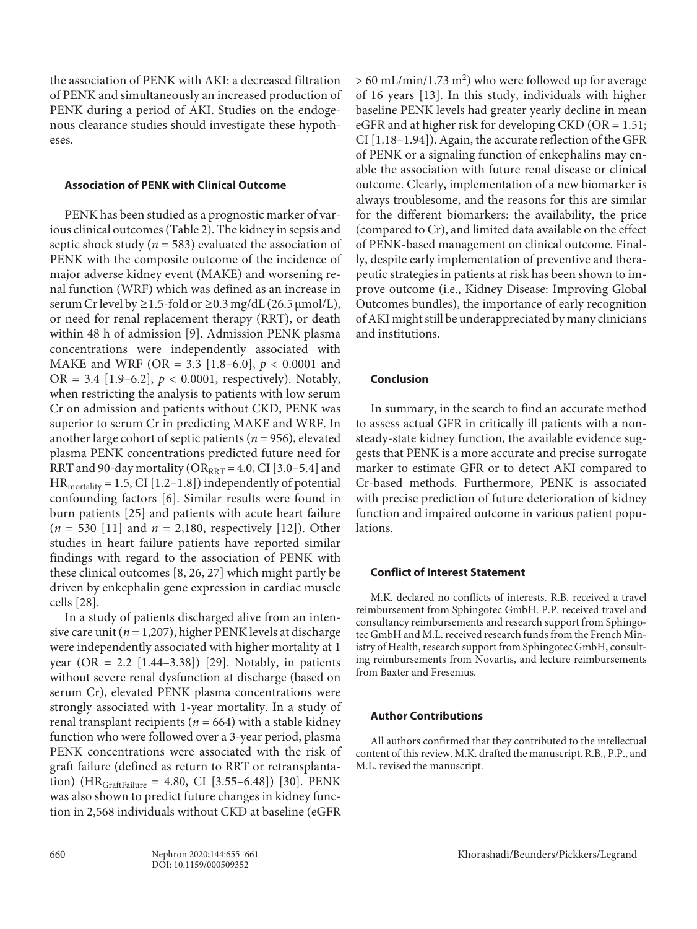the association of PENK with AKI: a decreased filtration of PENK and simultaneously an increased production of PENK during a period of AKI. Studies on the endogenous clearance studies should investigate these hypotheses.

## **Association of PENK with Clinical Outcome**

PENK has been studied as a prognostic marker of various clinical outcomes (Table 2). The kidney in sepsis and septic shock study (*n* = 583) evaluated the association of PENK with the composite outcome of the incidence of major adverse kidney event (MAKE) and worsening renal function (WRF) which was defined as an increase in serum Cr level by *≥*1.5-fold or *≥*0.3 mg/dL (26.5 μmol/L), or need for renal replacement therapy (RRT), or death within 48 h of admission [9]. Admission PENK plasma concentrations were independently associated with MAKE and WRF (OR = 3.3 [1.8–6.0], *p* < 0.0001 and OR = 3.4 [1.9–6.2], *p* < 0.0001, respectively). Notably, when restricting the analysis to patients with low serum Cr on admission and patients without CKD, PENK was superior to serum Cr in predicting MAKE and WRF. In another large cohort of septic patients (*n* = 956), elevated plasma PENK concentrations predicted future need for RRT and 90-day mortality ( $OR_{RRT} = 4.0$ , CI [3.0–5.4] and  $HR_{\text{mortality}} = 1.5$ , CI [1.2–1.8]) independently of potential confounding factors [6]. Similar results were found in burn patients [25] and patients with acute heart failure (*n* = 530 [11] and *n* = 2,180, respectively [12]). Other studies in heart failure patients have reported similar findings with regard to the association of PENK with these clinical outcomes [8, 26, 27] which might partly be driven by enkephalin gene expression in cardiac muscle cells [28].

In a study of patients discharged alive from an intensive care unit (*n* = 1,207), higher PENK levels at discharge were independently associated with higher mortality at 1 year (OR = 2.2 [1.44–3.38]) [29]. Notably, in patients without severe renal dysfunction at discharge (based on serum Cr), elevated PENK plasma concentrations were strongly associated with 1-year mortality. In a study of renal transplant recipients (*n* = 664) with a stable kidney function who were followed over a 3-year period, plasma PENK concentrations were associated with the risk of graft failure (defined as return to RRT or retransplantation) ( $HR_{GraffFailure} = 4.80$ , CI [3.55–6.48]) [30]. PENK was also shown to predict future changes in kidney function in 2,568 individuals without CKD at baseline (eGFR

 $> 60$  mL/min/1.73 m<sup>2</sup>) who were followed up for average of 16 years [13]. In this study, individuals with higher baseline PENK levels had greater yearly decline in mean eGFR and at higher risk for developing CKD (OR = 1.51; CI [1.18–1.94]). Again, the accurate reflection of the GFR of PENK or a signaling function of enkephalins may enable the association with future renal disease or clinical outcome. Clearly, implementation of a new biomarker is always troublesome, and the reasons for this are similar for the different biomarkers: the availability, the price (compared to Cr), and limited data available on the effect of PENK-based management on clinical outcome. Finally, despite early implementation of preventive and therapeutic strategies in patients at risk has been shown to improve outcome (i.e., Kidney Disease: Improving Global Outcomes bundles), the importance of early recognition of AKI might still be underappreciated by many clinicians and institutions.

## **Conclusion**

In summary, in the search to find an accurate method to assess actual GFR in critically ill patients with a nonsteady-state kidney function, the available evidence suggests that PENK is a more accurate and precise surrogate marker to estimate GFR or to detect AKI compared to Cr-based methods. Furthermore, PENK is associated with precise prediction of future deterioration of kidney function and impaired outcome in various patient populations.

# **Conflict of Interest Statement**

M.K. declared no conflicts of interests. R.B. received a travel reimbursement from Sphingotec GmbH. P.P. received travel and consultancy reimbursements and research support from Sphingotec GmbH and M.L. received research funds from the French Ministry of Health, research support from Sphingotec GmbH, consulting reimbursements from Novartis, and lecture reimbursements from Baxter and Fresenius.

## **Author Contributions**

All authors confirmed that they contributed to the intellectual content of this review. M.K. drafted the manuscript. R.B., P.P., and M.L. revised the manuscript.